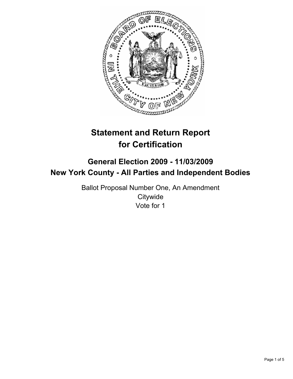

# **Statement and Return Report for Certification**

# **General Election 2009 - 11/03/2009 New York County - All Parties and Independent Bodies**

Ballot Proposal Number One, An Amendment **Citywide** Vote for 1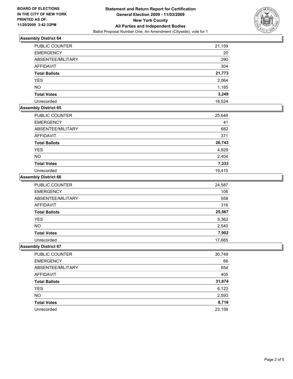

# **Assembly District 64**

| PUBLIC COUNTER       | 21,159 |
|----------------------|--------|
| <b>EMERGENCY</b>     | 20     |
| ABSENTEE/MILITARY    | 290    |
| AFFIDAVIT            | 304    |
| <b>Total Ballots</b> | 21,773 |
| <b>YES</b>           | 2,064  |
| <b>NO</b>            | 1,185  |
| <b>Total Votes</b>   | 3,249  |
| Unrecorded           | 18,524 |

# **Assembly District 65**

| PUBLIC COUNTER       | 25,649 |
|----------------------|--------|
| <b>EMERGENCY</b>     | 41     |
| ABSENTEE/MILITARY    | 682    |
| <b>AFFIDAVIT</b>     | 371    |
| <b>Total Ballots</b> | 26,743 |
| <b>YES</b>           | 4,929  |
| <b>NO</b>            | 2,404  |
| <b>Total Votes</b>   | 7,333  |
| Unrecorded           | 19,410 |

#### **Assembly District 66**

| <b>PUBLIC COUNTER</b> | 24,587 |
|-----------------------|--------|
| <b>EMERGENCY</b>      | 106    |
| ABSENTEE/MILITARY     | 558    |
| <b>AFFIDAVIT</b>      | 316    |
| <b>Total Ballots</b>  | 25,567 |
| <b>YES</b>            | 5,362  |
| <b>NO</b>             | 2,540  |
| <b>Total Votes</b>    | 7,902  |
| Unrecorded            | 17,665 |

# **Assembly District 67**

| PUBLIC COUNTER       | 30,749 |
|----------------------|--------|
| <b>EMERGENCY</b>     | 66     |
| ABSENTEE/MILITARY    | 654    |
| AFFIDAVIT            | 405    |
| <b>Total Ballots</b> | 31,874 |
| <b>YES</b>           | 6,123  |
| <b>NO</b>            | 2,593  |
| <b>Total Votes</b>   | 8,716  |
| Unrecorded           | 23,158 |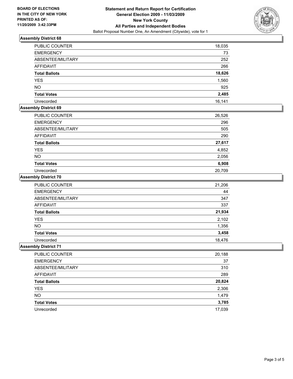

# **Assembly District 68**

| <b>PUBLIC COUNTER</b> | 18,035 |
|-----------------------|--------|
| <b>EMERGENCY</b>      | 73     |
| ABSENTEE/MILITARY     | 252    |
| <b>AFFIDAVIT</b>      | 266    |
| <b>Total Ballots</b>  | 18,626 |
| <b>YES</b>            | 1,560  |
| <b>NO</b>             | 925    |
| <b>Total Votes</b>    | 2,485  |
| Unrecorded            | 16,141 |

# **Assembly District 69**

| <b>PUBLIC COUNTER</b> | 26,526 |
|-----------------------|--------|
| <b>EMERGENCY</b>      | 296    |
| ABSENTEE/MILITARY     | 505    |
| <b>AFFIDAVIT</b>      | 290    |
| <b>Total Ballots</b>  | 27,617 |
| <b>YES</b>            | 4,852  |
| <b>NO</b>             | 2,056  |
| <b>Total Votes</b>    | 6,908  |
| Unrecorded            | 20,709 |

### **Assembly District 70**

| <b>PUBLIC COUNTER</b> | 21,206 |
|-----------------------|--------|
| <b>EMERGENCY</b>      | 44     |
| ABSENTEE/MILITARY     | 347    |
| <b>AFFIDAVIT</b>      | 337    |
| <b>Total Ballots</b>  | 21,934 |
| <b>YES</b>            | 2,102  |
| <b>NO</b>             | 1,356  |
| <b>Total Votes</b>    | 3,458  |
| Unrecorded            | 18,476 |

# **Assembly District 71**

| PUBLIC COUNTER       | 20,188 |
|----------------------|--------|
| <b>EMERGENCY</b>     | 37     |
| ABSENTEE/MILITARY    | 310    |
| AFFIDAVIT            | 289    |
| <b>Total Ballots</b> | 20,824 |
| <b>YES</b>           | 2,306  |
| <b>NO</b>            | 1,479  |
| <b>Total Votes</b>   | 3,785  |
| Unrecorded           | 17,039 |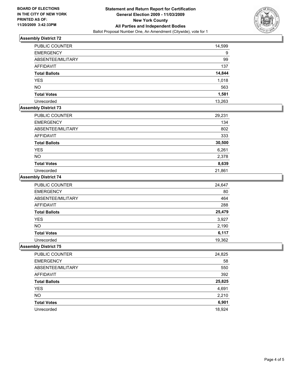

# **Assembly District 72**

| <b>PUBLIC COUNTER</b> | 14,599 |
|-----------------------|--------|
| <b>EMERGENCY</b>      | 9      |
| ABSENTEE/MILITARY     | 99     |
| <b>AFFIDAVIT</b>      | 137    |
| <b>Total Ballots</b>  | 14,844 |
| <b>YES</b>            | 1,018  |
| <b>NO</b>             | 563    |
| <b>Total Votes</b>    | 1,581  |
| Unrecorded            | 13,263 |

# **Assembly District 73**

| <b>PUBLIC COUNTER</b> | 29,231 |
|-----------------------|--------|
| <b>EMERGENCY</b>      | 134    |
| ABSENTEE/MILITARY     | 802    |
| AFFIDAVIT             | 333    |
| <b>Total Ballots</b>  | 30,500 |
| <b>YES</b>            | 6,261  |
| <b>NO</b>             | 2,378  |
| <b>Total Votes</b>    | 8,639  |
| Unrecorded            | 21,861 |

# **Assembly District 74**

| <b>PUBLIC COUNTER</b> | 24,647 |
|-----------------------|--------|
| <b>EMERGENCY</b>      | 80     |
| ABSENTEE/MILITARY     | 464    |
| <b>AFFIDAVIT</b>      | 288    |
| <b>Total Ballots</b>  | 25,479 |
| <b>YES</b>            | 3,927  |
| <b>NO</b>             | 2,190  |
| <b>Total Votes</b>    | 6,117  |
| Unrecorded            | 19,362 |

# **Assembly District 75**

| PUBLIC COUNTER       | 24,825 |
|----------------------|--------|
| <b>EMERGENCY</b>     | 58     |
| ABSENTEE/MILITARY    | 550    |
| AFFIDAVIT            | 392    |
| <b>Total Ballots</b> | 25,825 |
| <b>YES</b>           | 4,691  |
| <b>NO</b>            | 2,210  |
| <b>Total Votes</b>   | 6,901  |
| Unrecorded           | 18,924 |